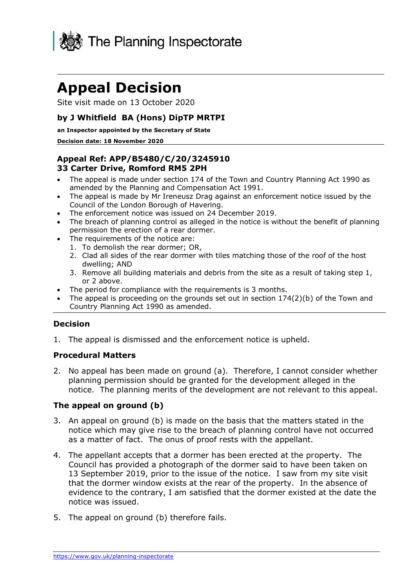

# **Appeal Decision**

Site visit made on 13 October 2020

## **by J Whitfield BA (Hons) DipTP MRTPI**

#### **an Inspector appointed by the Secretary of State**

#### **Decision date: 18 November 2020**

#### **Appeal Ref: APP/B5480/C/20/3245910 33 Carter Drive, Romford RM5 2PH**

- • The appeal is made under section 174 of the Town and Country Planning Act 1990 as amended by the Planning and Compensation Act 1991.
- • The appeal is made by Mr Ireneusz Drag against an enforcement notice issued by the Council of the London Borough of Havering.
- The enforcement notice was issued on 24 December 2019.
- • The breach of planning control as alleged in the notice is without the benefit of planning permission the erection of a rear dormer.
- • The requirements of the notice are:
	- 1. To demolish the rear dormer; OR,
	- 2. Clad all sides of the rear dormer with tiles matching those of the roof of the host dwelling; AND
	- 3. Remove all building materials and debris from the site as a result of taking step 1, or 2 above.
- The period for compliance with the requirements is 3 months.
- The appeal is proceeding on the grounds set out in section  $174(2)(b)$  of the Town and Country Planning Act 1990 as amended.

## **Decision**

1. The appeal is dismissed and the enforcement notice is upheld.

#### **Procedural Matters**

 2. No appeal has been made on ground (a). Therefore, I cannot consider whether planning permission should be granted for the development alleged in the notice. The planning merits of the development are not relevant to this appeal.

#### **The appeal on ground (b)**

- 3. An appeal on ground (b) is made on the basis that the matters stated in the notice which may give rise to the breach of planning control have not occurred as a matter of fact. The onus of proof rests with the appellant.
- 4. The appellant accepts that a dormer has been erected at the property. The Council has provided a photograph of the dormer said to have been taken on 13 September 2019, prior to the issue of the notice. I saw from my site visit that the dormer window exists at the rear of the property. In the absence of evidence to the contrary, I am satisfied that the dormer existed at the date the notice was issued.
- 5. The appeal on ground (b) therefore fails.